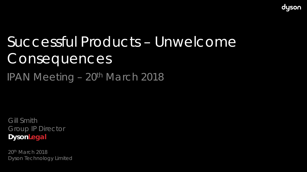

# Successful Products – Unwelcome **Consequences**

IPAN Meeting – 20<sup>th</sup> March 2018

Gill Smith Group IP Director **DysonLegal**

20th March 2018 Dyson Technology Limited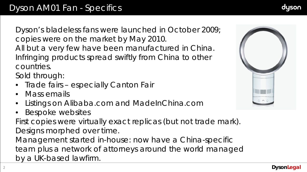Dyson's bladeless fans were launched in October 2009; copies were on the market by May 2010. All but a very few have been manufactured in China. Infringing products spread swiftly from China to other countries.

Sold through:

- Trade fairs especially Canton Fair
- Mass emails
- Listings on Alibaba.com and MadeInChina.com
- Bespoke websites

First copies were virtually exact replicas (but not trade mark). Designs morphed over time. Management started in-house: now have a China-specific

team plus a network of attorneys around the world managed by a UK-based lawfirm.

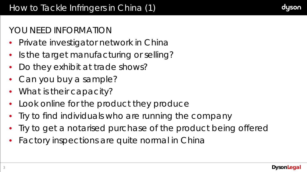# YOU NEED INFORMATION

- Private investigator network in China
- Is the target manufacturing or selling?
- Do they exhibit at trade shows?
- Can you buy a sample?
- What is their capacity?
- Look online for the product they produce
- Try to find individuals who are running the company
- Try to get a notarised purchase of the product being offered
- Factory inspections are quite normal in China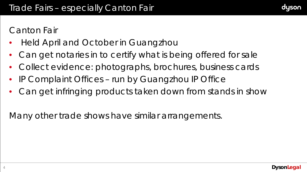

## Canton Fair

- Held April and October in Guangzhou
- Can get notaries in to certify what is being offered for sale
- Collect evidence: photographs, brochures, business cards
- IP Complaint Offices run by Guangzhou IP Office
- Can get infringing products taken down from stands in show

Many other trade shows have similar arrangements.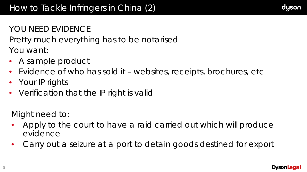## YOU NEED EVIDENCE

Pretty much everything has to be notarised You want:

- A sample product
- Evidence of who has sold it websites, receipts, brochures, etc
- Your IP rights
- Verification that the IP right is valid

Might need to:

- Apply to the court to have a raid carried out which will produce evidence
- Carry out a seizure at a port to detain goods destined for export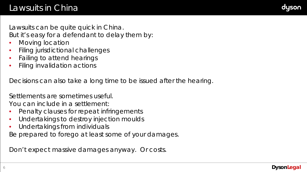

Lawsuits can be quite quick in China. But it's easy for a defendant to delay them by:

- Moving location
- Filing jurisdictional challenges
- Failing to attend hearings
- Filing invalidation actions

Decisions can also take a long time to be issued after the hearing.

Settlements are sometimes useful.

You can include in a settlement:

- Penalty clauses for repeat infringements
- Undertakings to destroy injection moulds
- Undertakings from individuals

Be prepared to forego at least some of your damages.

Don't expect massive damages anyway. Or costs.